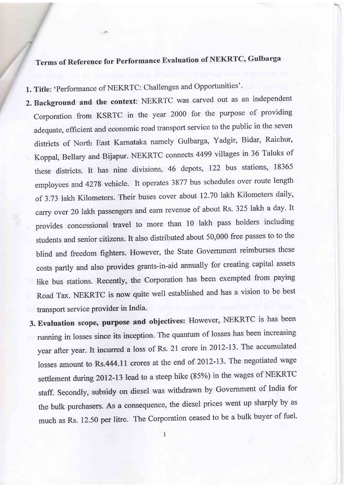## Terms of Reference for Performance Evaluation of NEKRTC, Gulbarga

1. Title: 'Performance of NEKRTC: Challenges and Opportunities'.

- 2. Background and the context: NEKRTC was carved out as an independent corporation from KSRTC in the yeat 2000 for the purpose of providing adequate, efficient and economic road transport service to the public in the seven districts of North East Karnataka namely Gulbarga, Yadgir, Bidar, Raichur, Koppal, Bellary and Bijapur. NEKRTC connects 4499 villages in 36 Taluks of these districts. It has nine divisions, 46 depots, I22 bus stations, <sup>18365</sup> employees and 4278 vehicle. It operates 3877 bus schedules over route length of 3.73 lakh Kilometers. Their buses cover about 12.70 lakh Kilometers daily, carry over 20 lakh passengers and earn revenue of about Rs. 325 lakh a day. It provides concessional travel to more than 10 lakh pass holders including students and senior citizens. It also distributed about 50,000 free passes to to the blind and freedom fighters. However, the state Government reimburses these costs partly and also provides grants-in-aid annually for creating capital assets like bus stations. Recently, the Corporation has been exempted from paying Road Tax. NEKRTC is now quite well established and has a vision to be best transport service provider in India.
	- 3. Evaluation scope, purpose and objectives: However, NEKRTC is has been running in losses since its inception. The quantum of losses has been increasing year after year. It incurred a loss of Rs. 21 crore in 2012-13. The accumulated losses amount to Rs.444.11 crores at the end of 2ol2-13. The negotiated wage settlement during 2012-13 lead to a steep hike (85%) in the wages of NEKRTC staff. Secondly, subsidy on diesel was withdrawn by Government of India for the bulk purchasers. As a consequence, the diesel prices went up sharply by as much as Rs. 12.50 per litre. The Corporation ceased to be a bulk buyer of fuel.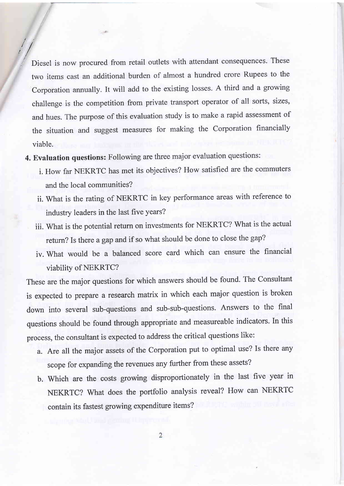Diesel is now procured from retail outlets with affendant consequences. These two items cast an additional burden of almost a hundred crore Rupees to the Corporation annually. It will add to the existing losses. A third and a growing challenge is the competition from private transport operator of all sorts, sizes, and hues. The purpose of this evaluation study is to make a rapid assessment of the situation and suggest measures for making the Corporation financially viable.

 $\mathbb{I}$ 

4. Evaluation questions: Following are three major evaluation questions:

//

- i. How far NEKRTC has met its objectives? How satisfied are the commuters and the local communities?
- ii. What is the rating of NEKRTC in key performance areas with reference to industry leaders in the last five years?
- iii. What is the potential return on investments for NEKRTC? What is the actual return? Is there a gap and if so what should be done to close the gap?
- iv. What would be a balanced score card which can ensure the financial viability of NEKRTC?

These are the major questions for which answers should be found. The Consultant is expected to prepare a research matrix in which each major question is broken down into several sub-questions and sub-sub-questions. Answers to the final questions should be found through appropriate and measureable indicators. In this process, the consultant is expected to address the critical questions like:

- a. Are all the major assets of the Corporation put to optimal use? Is there any scope for expanding the revenues any further from these assets?
- b. Which are the costs growing disproportionately in the last five year in NEKRTC? What does the portfolio analysis reveal? How can NEKRTC contain its fastest growing expenditure items?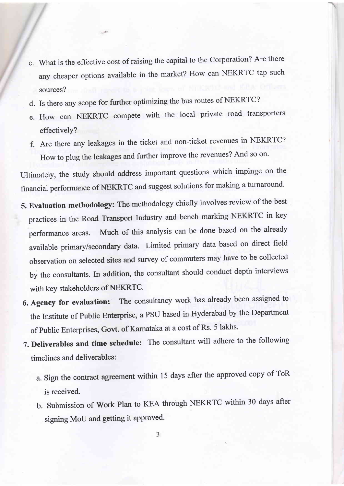- c. what is the effective cost of raising the capital to the corporation? Are there any cheaper options available in the market? How can NEKRTC tap such sources?
- d. Is there any scope for further optimizing the bus routes of NEKRTC?
- e. How can NEKRTC compete with the local private road transporters effectively?
- Are there any leakages in the ticket and non-ticket revenues in NEKRTC? How to plug the leakages and further improve the revenues? And so on.

Ultimately, the study should address important questions which impinge on the financial performance of NEKRTC and suggest solutions for making a turnaround.

- 5. Evaluation methodology: The methodology chiefly involves review of the best practices in the Road Transport Industry and bench marking NEKRTC in key performance areas. Much of this analysis can be done based on the already available primary/secondary data. Limited primary data based on direct field observation on selected sites and survey of commuters may have to be collected by the consultants. In addition, the consultant should conduct depth interviews with key stakeholders of NEKRTC.
- 6. Agency for evaluation: The consultancy work has already been assigned to the Institute of public Enterprise, a PSU based in Hyderabad by the Department of Public Enterprises, Govt. of Karnataka at a cost of Rs. 5 lakhs.
- 7. Deliverables and time schedule: The consultant will adhere to the following timelines and deliverables:
	- a. sign the contract agreement within 15 days after the approved copy of ToR is received.
	- b. submission of work plan to KEA through NEKRTC within 30 days after signing MoU and getting it approved.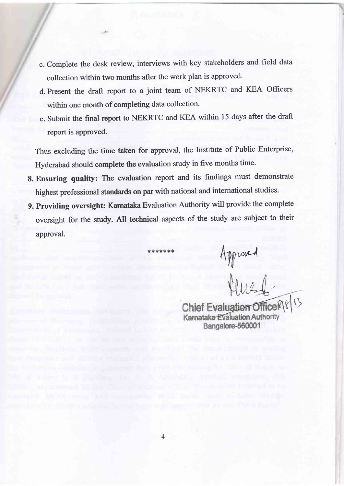- c. Complete the desk review, interviews with key stakeholders and freld data collection within two months after the work plan is approved.
- d. Present the draft report to a joint team of NEKRTC and KEA Officers within one month of completing data collection.
- e. Submit the final report to NEKRTC and KEA within 15 days after the draft report is approved.

Thus excluding the time taken for approval, the Institute of Public Enterprise, Hyderabad should complete the evaluation study in five months time.

- 8. Ensuring quality: The evaluation report and its findings must demonstrate highest professional standards on par with national and international studies.
- 9. Providing oversight: Karnataka Evaluation Authority will provide the complete oversight for the study. All technical aspects of the study are subject to their approval.

\*\*\*\*\*\* Approved

Chief Evaluation Office Karnataka Evaluation Authority Bangalore-560001